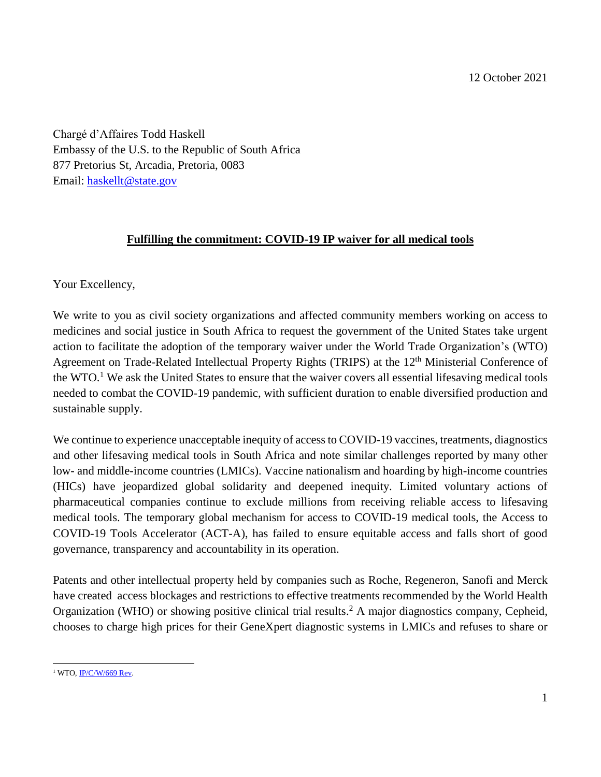12 October 2021

Chargé d'Affaires Todd Haskell Embassy of the U.S. to the Republic of South Africa 877 Pretorius St, Arcadia, Pretoria, 0083 Email: [haskellt@state.gov](mailto:haskellt@state.gov)

## **Fulfilling the commitment: COVID-19 IP waiver for all medical tools**

Your Excellency,

We write to you as civil society organizations and affected community members working on access to medicines and social justice in South Africa to request the government of the United States take urgent action to facilitate the adoption of the temporary waiver under the World Trade Organization's (WTO) Agreement on Trade-Related Intellectual Property Rights (TRIPS) at the 12<sup>th</sup> Ministerial Conference of the WTO.<sup>1</sup> We ask the United States to ensure that the waiver covers all essential lifesaving medical tools needed to combat the COVID-19 pandemic, with sufficient duration to enable diversified production and sustainable supply.

We continue to experience unacceptable inequity of access to COVID-19 vaccines, treatments, diagnostics and other lifesaving medical tools in South Africa and note similar challenges reported by many other low- and middle-income countries (LMICs). Vaccine nationalism and hoarding by high-income countries (HICs) have jeopardized global solidarity and deepened inequity. Limited voluntary actions of pharmaceutical companies continue to exclude millions from receiving reliable access to lifesaving medical tools. The temporary global mechanism for access to COVID-19 medical tools, the Access to COVID-19 Tools Accelerator (ACT-A), has failed to ensure equitable access and falls short of good governance, transparency and accountability in its operation.

Patents and other intellectual property held by companies such as Roche, Regeneron, Sanofi and Merck have created access blockages and restrictions to effective treatments recommended by the World Health Organization (WHO) or showing positive clinical trial results. <sup>2</sup> A major diagnostics company, Cepheid, chooses to charge high prices for their GeneXpert diagnostic systems in LMICs and refuses to share or

 $\overline{\phantom{a}}$  $1$  WTO, IP/C/W/669 Rev.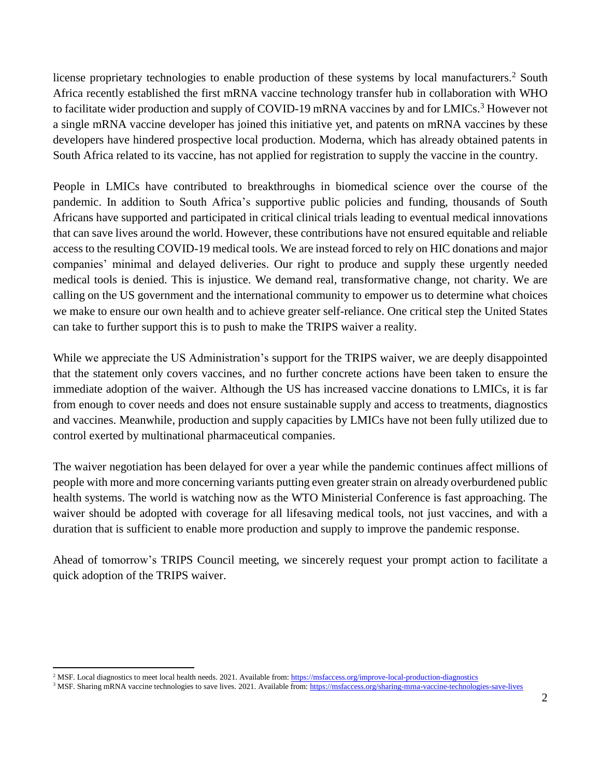license proprietary technologies to enable production of these systems by local manufacturers.<sup>2</sup> South Africa recently established the first mRNA vaccine technology transfer hub in collaboration with WHO to facilitate wider production and supply of COVID-19 mRNA vaccines by and for LMICs.<sup>3</sup> However not a single mRNA vaccine developer has joined this initiative yet, and patents on mRNA vaccines by these developers have hindered prospective local production. Moderna, which has already obtained patents in South Africa related to its vaccine, has not applied for registration to supply the vaccine in the country.

People in LMICs have contributed to breakthroughs in biomedical science over the course of the pandemic. In addition to South Africa's supportive public policies and funding, thousands of South Africans have supported and participated in critical clinical trials leading to eventual medical innovations that can save lives around the world. However, these contributions have not ensured equitable and reliable access to the resulting COVID-19 medical tools. We are instead forced to rely on HIC donations and major companies' minimal and delayed deliveries. Our right to produce and supply these urgently needed medical tools is denied. This is injustice. We demand real, transformative change, not charity. We are calling on the US government and the international community to empower us to determine what choices we make to ensure our own health and to achieve greater self-reliance. One critical step the United States can take to further support this is to push to make the TRIPS waiver a reality.

While we appreciate the US Administration's support for the TRIPS waiver, we are deeply disappointed that the statement only covers vaccines, and no further concrete actions have been taken to ensure the immediate adoption of the waiver. Although the US has increased vaccine donations to LMICs, it is far from enough to cover needs and does not ensure sustainable supply and access to treatments, diagnostics and vaccines. Meanwhile, production and supply capacities by LMICs have not been fully utilized due to control exerted by multinational pharmaceutical companies.

The waiver negotiation has been delayed for over a year while the pandemic continues affect millions of people with more and more concerning variants putting even greater strain on already overburdened public health systems. The world is watching now as the WTO Ministerial Conference is fast approaching. The waiver should be adopted with coverage for all lifesaving medical tools, not just vaccines, and with a duration that is sufficient to enable more production and supply to improve the pandemic response.

Ahead of tomorrow's TRIPS Council meeting, we sincerely request your prompt action to facilitate a quick adoption of the TRIPS waiver.

l <sup>2</sup> MSF. Local diagnostics to meet local health needs. 2021. Available from[: https://msfaccess.org/improve-local-production-diagnostics](https://msfaccess.org/improve-local-production-diagnostics)

<sup>&</sup>lt;sup>3</sup> MSF. Sharing mRNA vaccine technologies to save lives. 2021. Available from: <https://msfaccess.org/sharing-mrna-vaccine-technologies-save-lives>